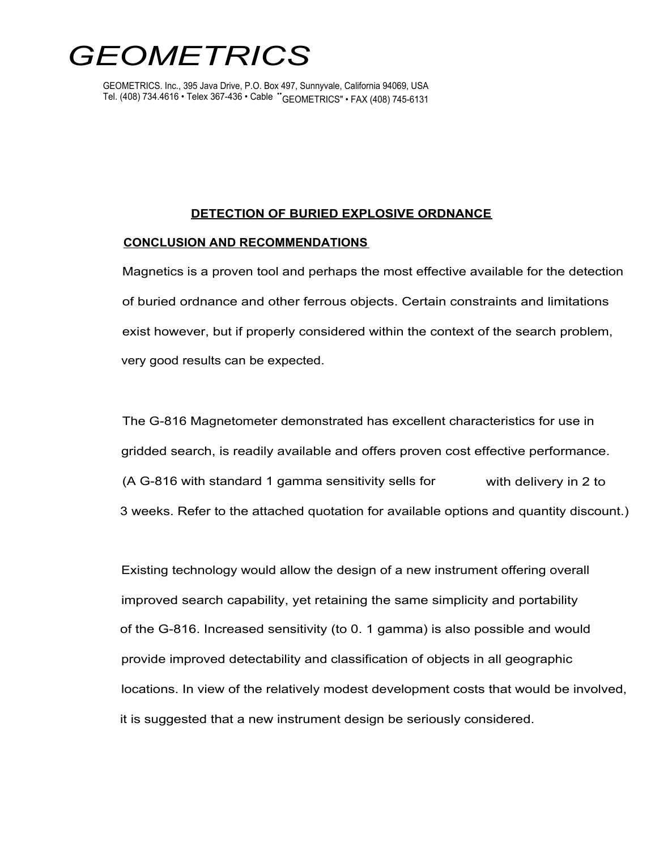# *GEOMETRICS*

GEOMETRICS. Inc., 395 Java Drive, P.O. Box 497, Sunnyvale, California 94069, USA Tel. (408) 734.4616 • Telex 367-436 • Cable " GEOMETRICS" • FAX (408) 745-6131

## **DETECTION OF BURIED EXPLOSIVE ORDNANCE**

## **CONCLUSION AND RECOMMENDATIONS**

Magnetics is a proven tool and perhaps the most effective available for the detection of buried ordnance and other ferrous objects. Certain constraints and limitations exist however, but if properly considered within the context of the search problem, very good results can be expected.

The G-816 Magnetometer demonstrated has excellent characteristics for use in gridded search, is readily available and offers proven cost effective performance. (A G-816 with standard 1 gamma sensitivity sells for with delivery in 2 to 3 weeks. Refer to the attached quotation for available options and quantity discount.)

Existing technology would allow the design of a new instrument offering overall improved search capability, yet retaining the same simplicity and portability of the G-816. Increased sensitivity (to 0. 1 gamma) is also possible and would provide improved detectability and classification of objects in all geographic locations. In view of the relatively modest development costs that would be involved, it is suggested that a new instrument design be seriously considered.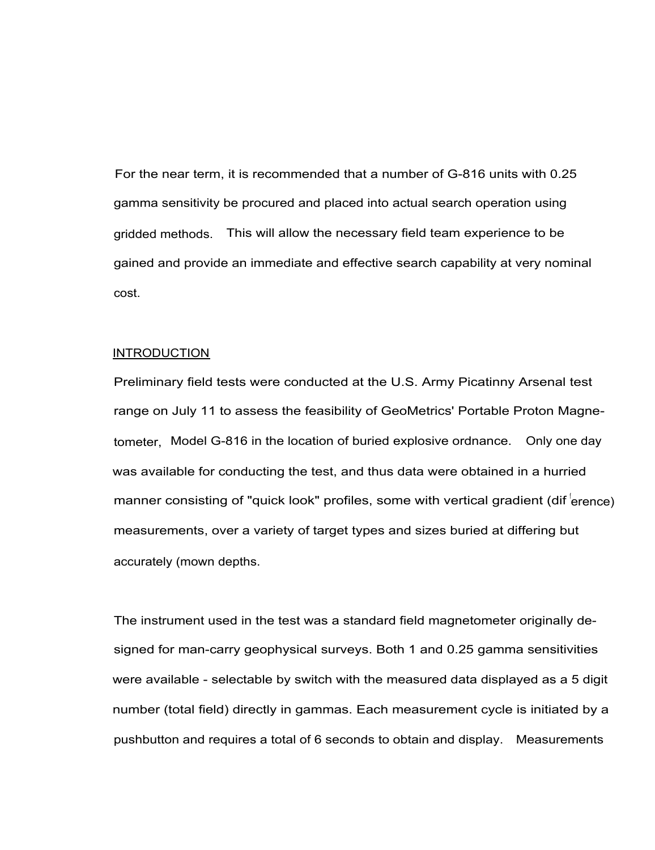For the near term, it is recommended that a number of G-816 units with 0.25 gamma sensitivity be procured and placed into actual search operation using gridded methods. This will allow the necessary field team experience to be gained and provide an immediate and effective search capability at very nominal cost.

## INTRODUCTION

Preliminary field tests were conducted at the U.S. Army Picatinny Arsenal test range on July 11 to assess the feasibility of GeoMetrics' Portable Proton Magnetometer, Model G-816 in the location of buried explosive ordnance. Only one day was available for conducting the test, and thus data were obtained in a hurried manner consisting of "quick look" profiles, some with vertical gradient (dif erence) measurements, over a variety of target types and sizes buried at differing but accurately (mown depths.

The instrument used in the test was a standard field magnetometer originally designed for man-carry geophysical surveys. Both 1 and 0.25 gamma sensitivities were available - selectable by switch with the measured data displayed as a 5 digit number (total field) directly in gammas. Each measurement cycle is initiated by a pushbutton and requires a total of 6 seconds to obtain and display. Measurements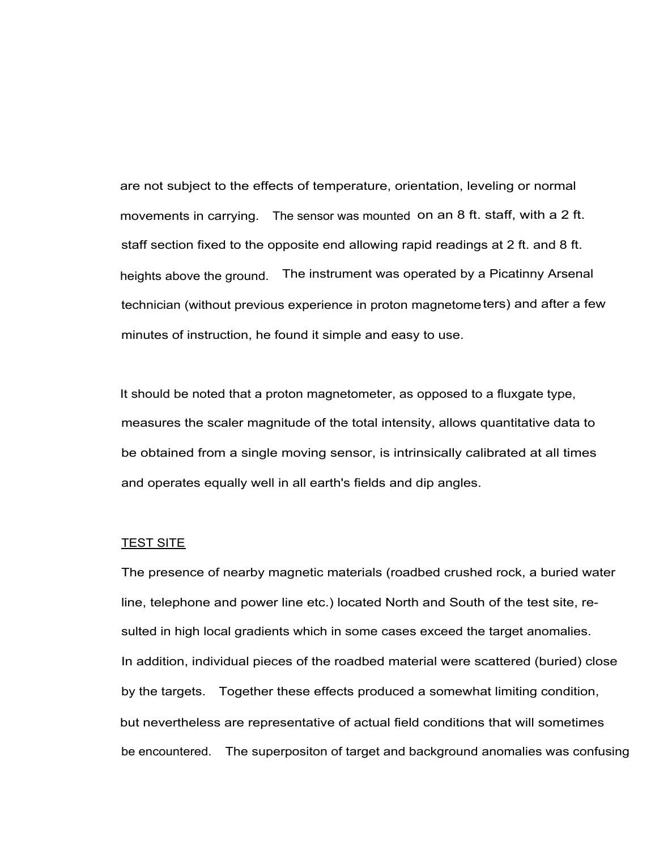are not subject to the effects of temperature, orientation, leveling or normal movements in carrying. The sensor was mounted on an 8 ft. staff, with a 2 ft. staff section fixed to the opposite end allowing rapid readings at 2 ft. and 8 ft. heights above the ground. The instrument was operated by a Picatinny Arsenal technician (without previous experience in proton magnetometers) and after a few minutes of instruction, he found it simple and easy to use.

It should be noted that a proton magnetometer, as opposed to a fluxgate type, measures the scaler magnitude of the total intensity, allows quantitative data to be obtained from a single moving sensor, is intrinsically calibrated at all times and operates equally well in all earth's fields and dip angles.

#### **TEST SITE**

The presence of nearby magnetic materials (roadbed crushed rock, a buried water line, telephone and power line etc.) located North and South of the test site, resulted in high local gradients which in some cases exceed the target anomalies. In addition, individual pieces of the roadbed material were scattered (buried) close by the targets. Together these effects produced a somewhat limiting condition, but nevertheless are representative of actual field conditions that will sometimes be encountered. The superpositon of target and background anomalies was confusing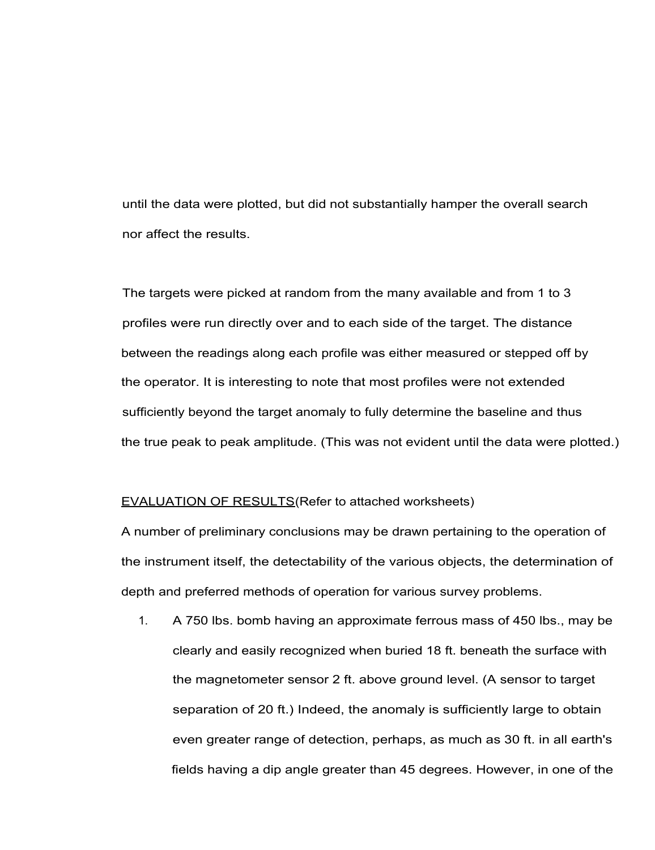until the data were plotted, but did not substantially hamper the overall search nor affect the results.

The targets were picked at random from the many available and from 1 to 3 profiles were run directly over and to each side of the target. The distance between the readings along each profile was either measured or stepped off by the operator. It is interesting to note that most profiles were not extended sufficiently beyond the target anomaly to fully determine the baseline and thus the true peak to peak amplitude. (This was not evident until the data were plotted.)

#### EVALUATION OF RESULTS(Refer to attached worksheets)

A number of preliminary conclusions may be drawn pertaining to the operation of the instrument itself, the detectability of the various objects, the determination of depth and preferred methods of operation for various survey problems.

1. A 750 lbs. bomb having an approximate ferrous mass of 450 lbs., may be clearly and easily recognized when buried 18 ft. beneath the surface with the magnetometer sensor 2 ft. above ground level. (A sensor to target separation of 20 ft.) Indeed, the anomaly is sufficiently large to obtain even greater range of detection, perhaps, as much as 30 ft. in all earth's fields having a dip angle greater than 45 degrees. However, in one of the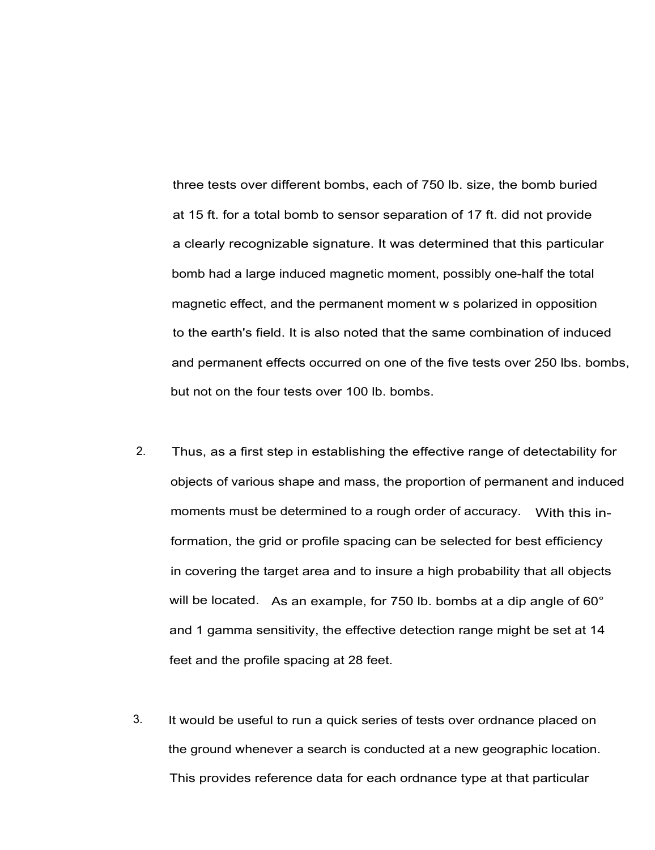three tests over different bombs, each of 750 lb. size, the bomb buried at 15 ft. for a total bomb to sensor separation of 17 ft. did not provide a clearly recognizable signature. It was determined that this particular bomb had a large induced magnetic moment, possibly one-half the total magnetic effect, and the permanent moment w s polarized in opposition to the earth's field. It is also noted that the same combination of induced and permanent effects occurred on one of the five tests over 250 lbs. bombs, but not on the four tests over 100 lb. bombs.

- 2. Thus, as a first step in establishing the effective range of detectability for objects of various shape and mass, the proportion of permanent and induced moments must be determined to a rough order of accuracy. With this information, the grid or profile spacing can be selected for best efficiency in covering the target area and to insure a high probability that all objects will be located. As an example, for 750 lb. bombs at a dip angle of 60° and 1 gamma sensitivity, the effective detection range might be set at 14 feet and the profile spacing at 28 feet.
- 3. It would be useful to run a quick series of tests over ordnance placed on the ground whenever a search is conducted at a new geographic location. This provides reference data for each ordnance type at that particular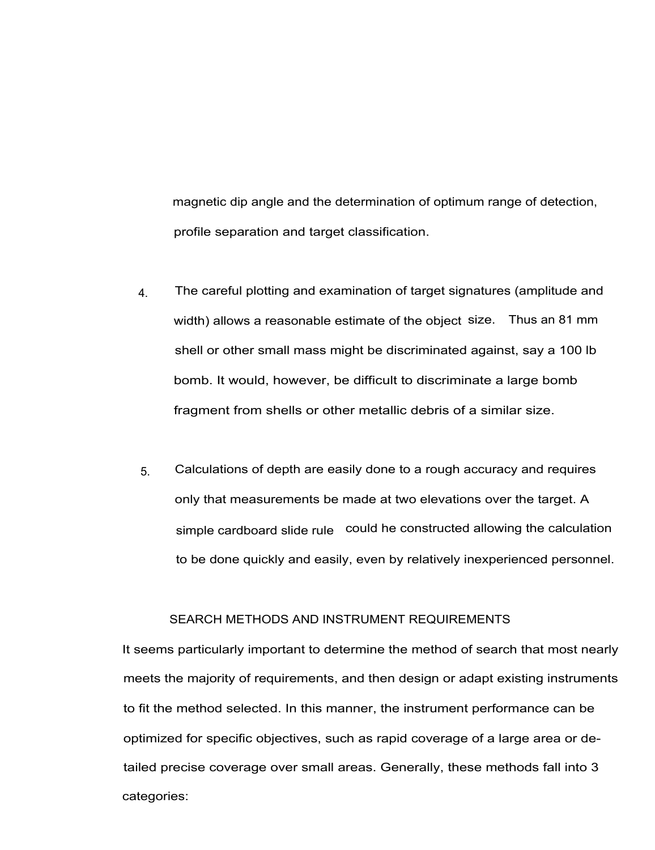magnetic dip angle and the determination of optimum range of detection, profile separation and target classification.

- 4. The careful plotting and examination of target signatures (amplitude and width) allows a reasonable estimate of the object size. Thus an 81 mm shell or other small mass might be discriminated against, say a 100 lb bomb. It would, however, be difficult to discriminate a large bomb fragment from shells or other metallic debris of a similar size.
- 5. Calculations of depth are easily done to a rough accuracy and requires only that measurements be made at two elevations over the target. A simple cardboard slide rule could he constructed allowing the calculation to be done quickly and easily, even by relatively inexperienced personnel.

# SEARCH METHODS AND INSTRUMENT REQUIREMENTS

It seems particularly important to determine the method of search that most nearly meets the majority of requirements, and then design or adapt existing instruments to fit the method selected. In this manner, the instrument performance can be optimized for specific objectives, such as rapid coverage of a large area or detailed precise coverage over small areas. Generally, these methods fall into 3 categories: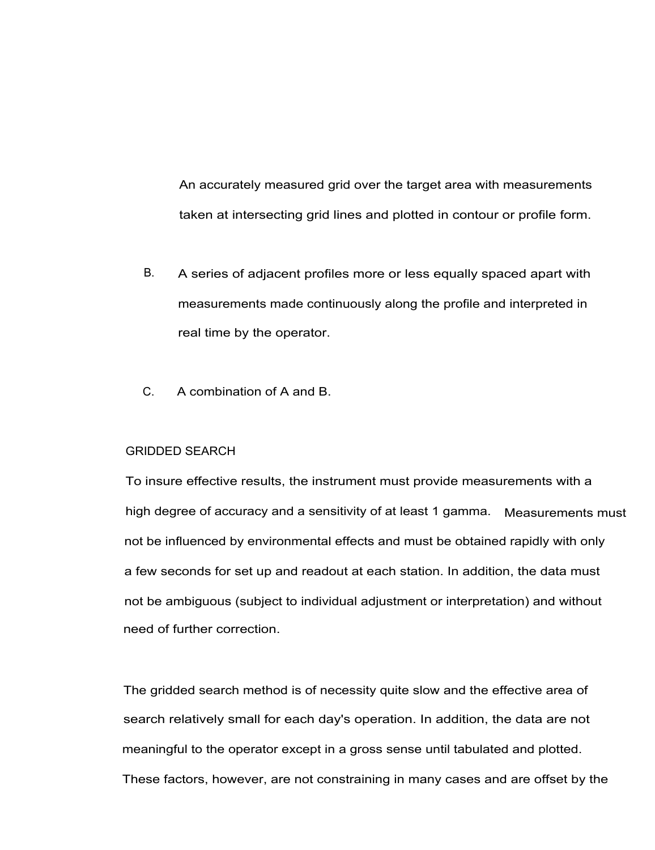An accurately measured grid over the target area with measurements taken at intersecting grid lines and plotted in contour or profile form.

- B. A series of adjacent profiles more or less equally spaced apart with measurements made continuously along the profile and interpreted in real time by the operator.
- C. A combination of A and B.

# GRIDDED SEARCH

To insure effective results, the instrument must provide measurements with a high degree of accuracy and a sensitivity of at least 1 gamma. Measurements must not be influenced by environmental effects and must be obtained rapidly with only a few seconds for set up and readout at each station. In addition, the data must not be ambiguous (subject to individual adjustment or interpretation) and without need of further correction.

The gridded search method is of necessity quite slow and the effective area of search relatively small for each day's operation. In addition, the data are not meaningful to the operator except in a gross sense until tabulated and plotted. These factors, however, are not constraining in many cases and are offset by the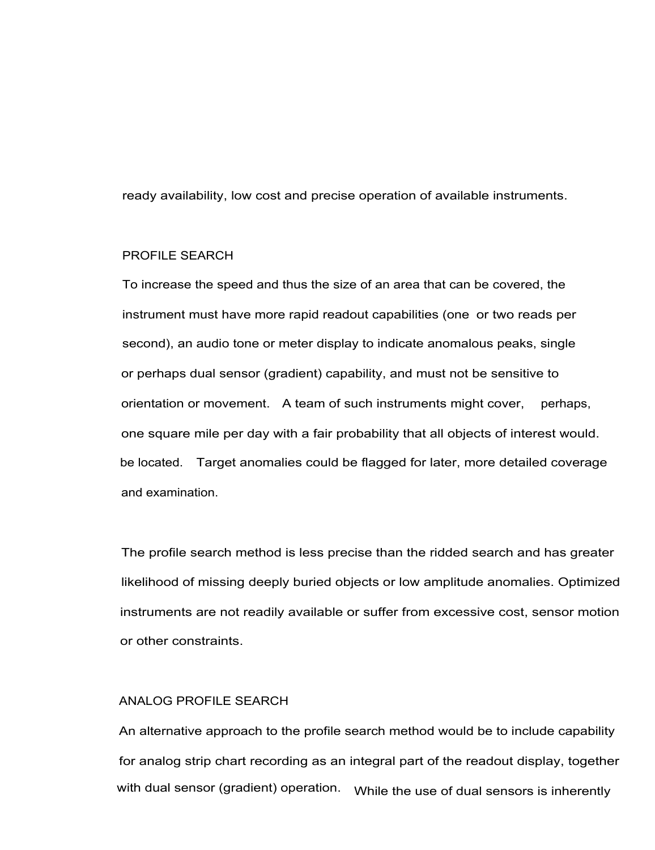ready availability, low cost and precise operation of available instruments.

# PROFILE SEARCH

To increase the speed and thus the size of an area that can be covered, the instrument must have more rapid readout capabilities (one or two reads per second), an audio tone or meter display to indicate anomalous peaks, single or perhaps dual sensor (gradient) capability, and must not be sensitive to orientation or movement. A team of such instruments might cover, perhaps, one square mile per day with a fair probability that all objects of interest would. be located. Target anomalies could be flagged for later, more detailed coverage and examination.

The profile search method is less precise than the ridded search and has greater likelihood of missing deeply buried objects or low amplitude anomalies. Optimized instruments are not readily available or suffer from excessive cost, sensor motion or other constraints.

## ANALOG PROFILE SEARCH

An alternative approach to the profile search method would be to include capability for analog strip chart recording as an integral part of the readout display, together with dual sensor (gradient) operation. While the use of dual sensors is inherently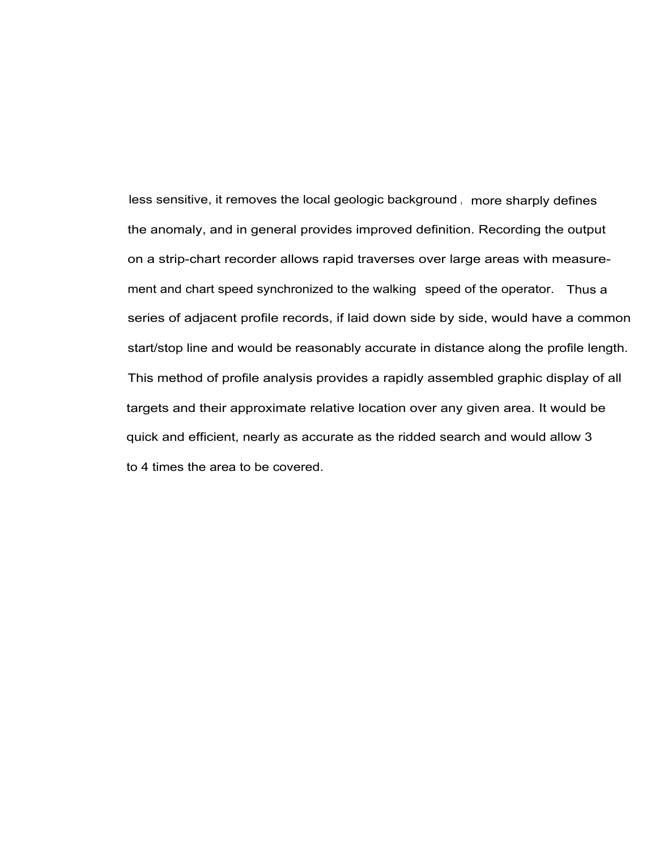less sensitive, it removes the local geologic background , more sharply defines the anomaly, and in general provides improved definition. Recording the output on a strip-chart recorder allows rapid traverses over large areas with measurement and chart speed synchronized to the walking speed of the operator. Thus a series of adjacent profile records, if laid down side by side, would have a common start/stop line and would be reasonably accurate in distance along the profile length. This method of profile analysis provides a rapidly assembled graphic display of all targets and their approximate relative location over any given area. It would be quick and efficient, nearly as accurate as the ridded search and would allow 3 to 4 times the area to be covered.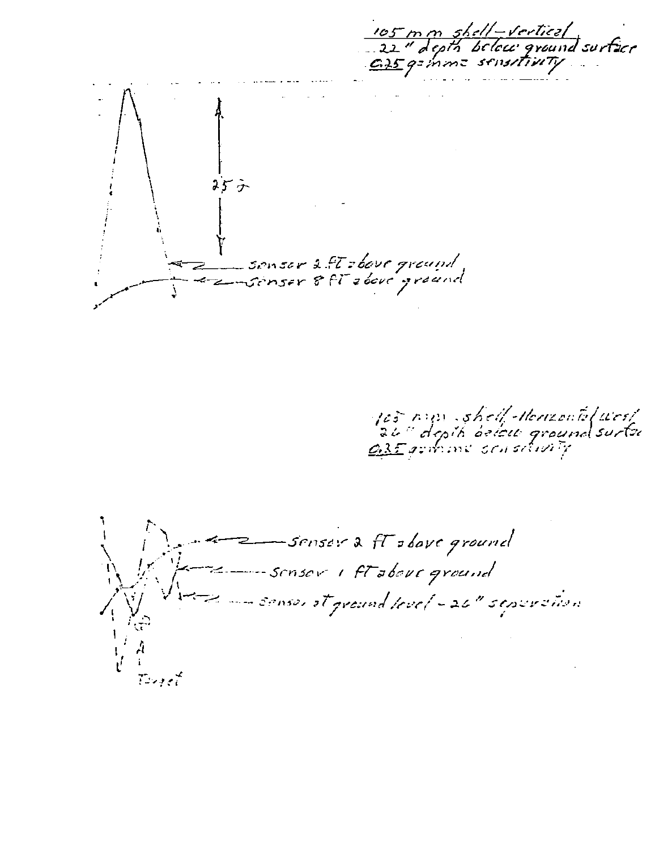105 m m shell-vertical<br>..22" depts below ground surface<br>.ci 5 g= mm= sensetivety るどう -sonser 2.ft zbove ground<br>-sonser 8.ft zbove ground  $\leftarrow$ 

105 nun shell Herizontil west<br>26" depik belew groundsurtu<br>035 gromme sensitivity

senser a ft stove ground Sensor I ft about ground - sensor at ground level - 26" septemention Target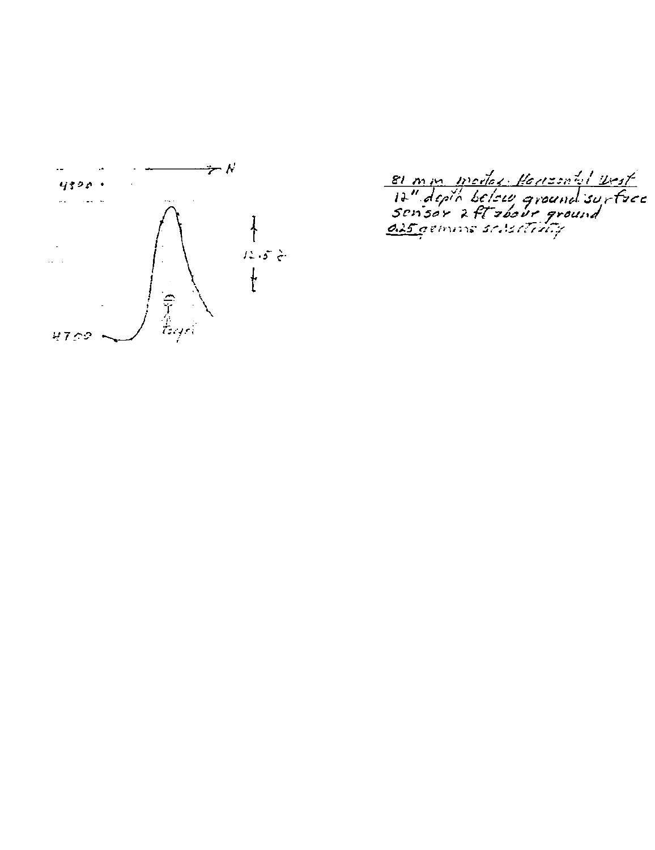

81 mm modes Heresatel Vest<br>17" depto belsur ground surface<br>sensor 2 ft zoour ground<br><u>als gemme sensitive</u>ly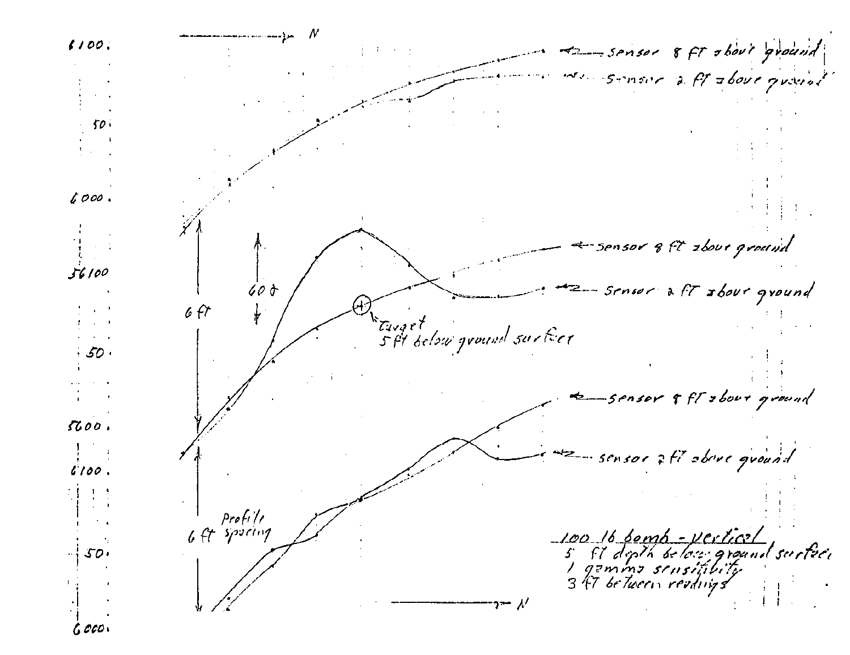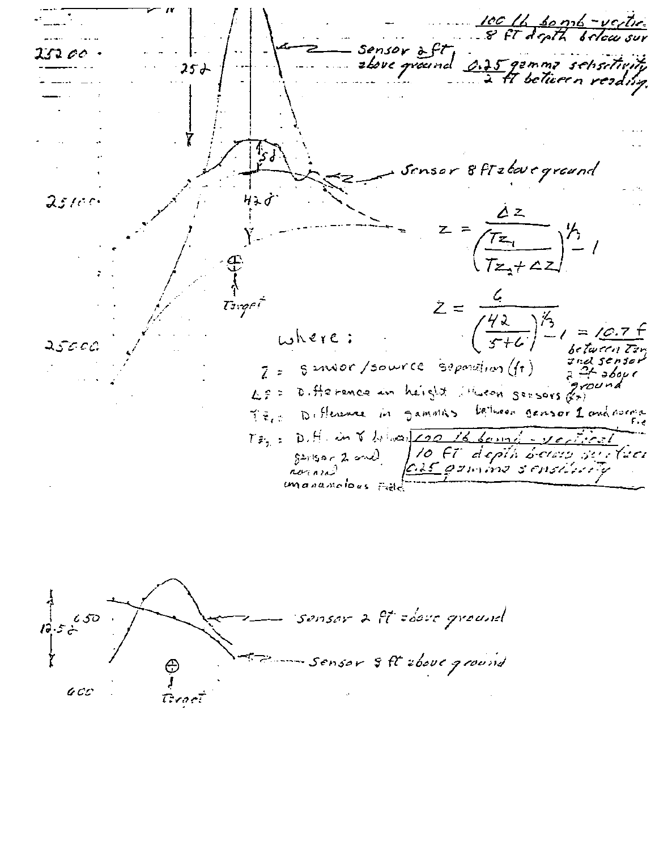<u>ICC Ib. bonnb -vertice</u><br>8 ft depth below sur sensor aft<br>złove graund <u>2015</u> ISZ 00 25 J fT beTü*e*rn reading. sor 8ftztavegreund  $25100$  $\dot{z} =$ Targel  $\frac{742}{1}$  $when$   $\epsilon$  ;  $25000$  $s$  and or /sowrce  $\frac{1}{2}$  separation  $(f_1)$  $\bar{z}$  = مەم4 - ي Ŕ. D. Herence in height ithueon sensors of  $L \nsubseteq \mathbb{R}$ gensor 1 and nome Samoths Difference in بره جدا جزا টি হৈছে। D. H. in V behar 200  $T\bar{\varepsilon}_p(z)$ <u>sann</u> | 10 FT depth beleis surfeer<br><u>035 g</u>emme s'en*silvaly*  $S^{2y|S_0} \subset \mathbb{Z}$  and romand manamolous Fill

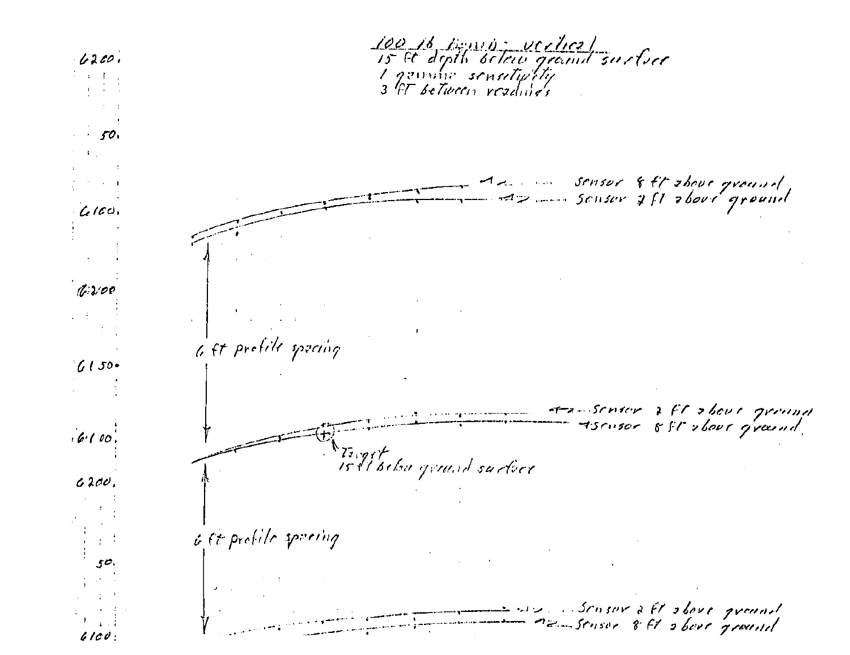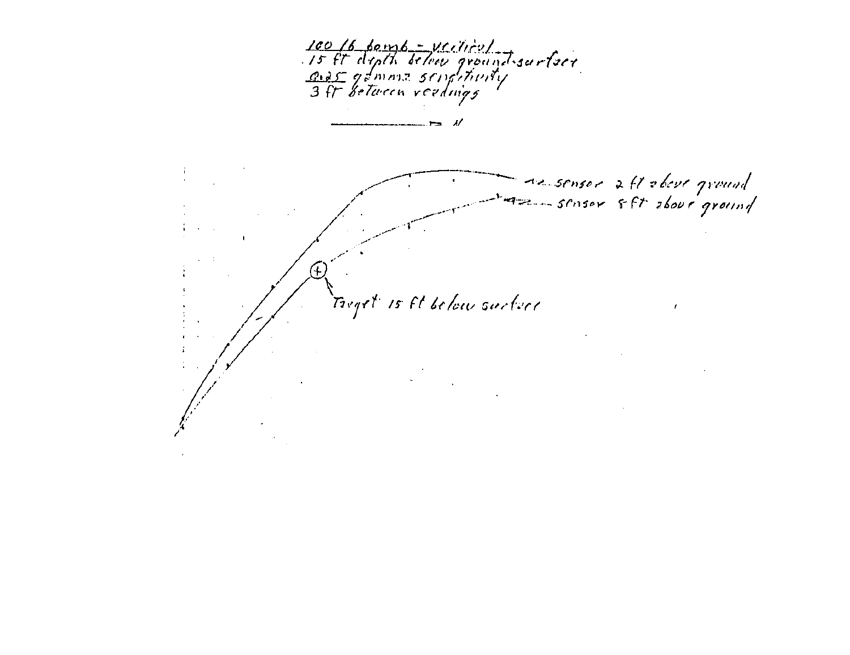100 16 bomb - vertier)<br>15 ft depth below ground surface<br>3 ft between readings ----------Az sensor aft obeve ground<br>Az - sensor 8ft above ground Treget is Et below surface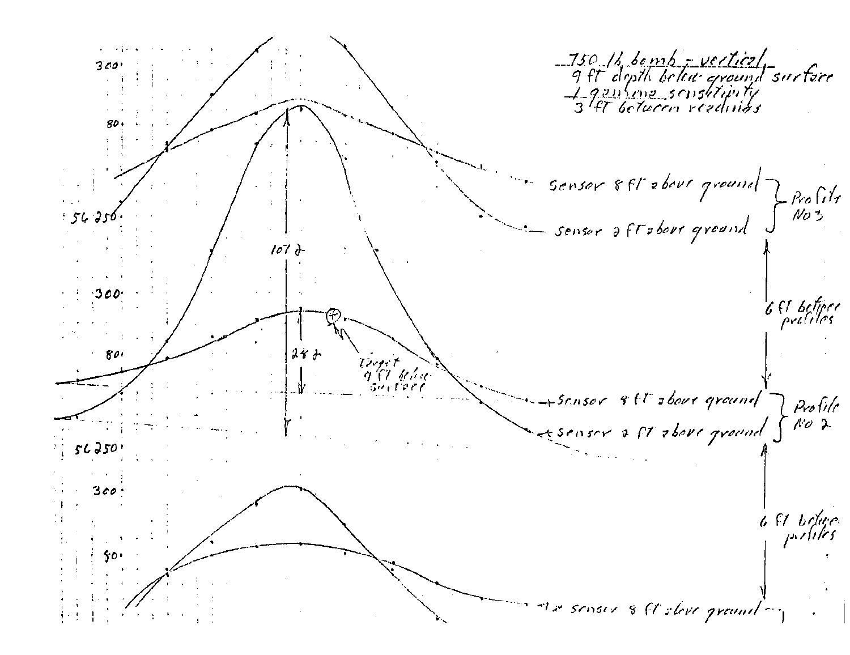750 12 bomb - verticel<br>9 ft dipth below ground surface<br>4 gentine scustituity<br>3 ft between readings 300 80 sensor 8 ft about ground  $\frac{1}{100}$ 54 256 senser aftabout ground  $107$   $\ddot{d}$ 6 ft beliere<br>Prolites  $24 +$  $801$ Tright River urterr Sensor 8ft shows ground Profile<br>No d esenser a ft above ground  $56350$ 300 6 St believe The senser & C sleve ground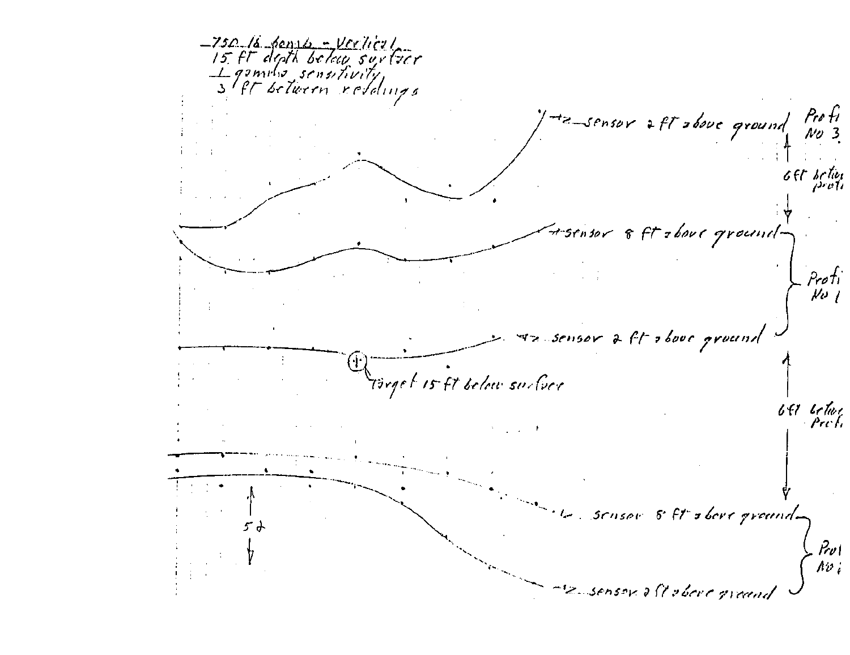-750 la dense - Verliert<br>15. Ft depth below surfeer genries sensitivity, He sensor aft above ground Profi Gft betien fisensor 8 ft zbour ground-Profi<br>| No sensor a ft above ground Türget is ft below surfuce 641 Getwee sensor 8 ft sbore ground-5 d  $\frac{\partial \omega}{\partial \omega_i}$ 2 sensor oft obere greand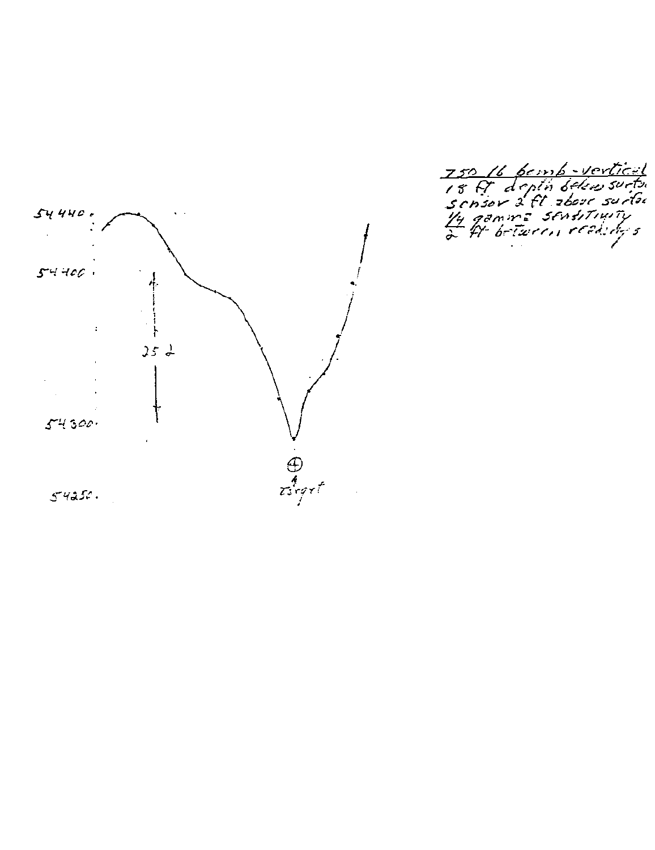

750 16 bemb - vertical<br>18 F depta below surta<br>sensor 2 ft zbore surfu<br>14 gamme sensitiwity<br>2 ft between reality's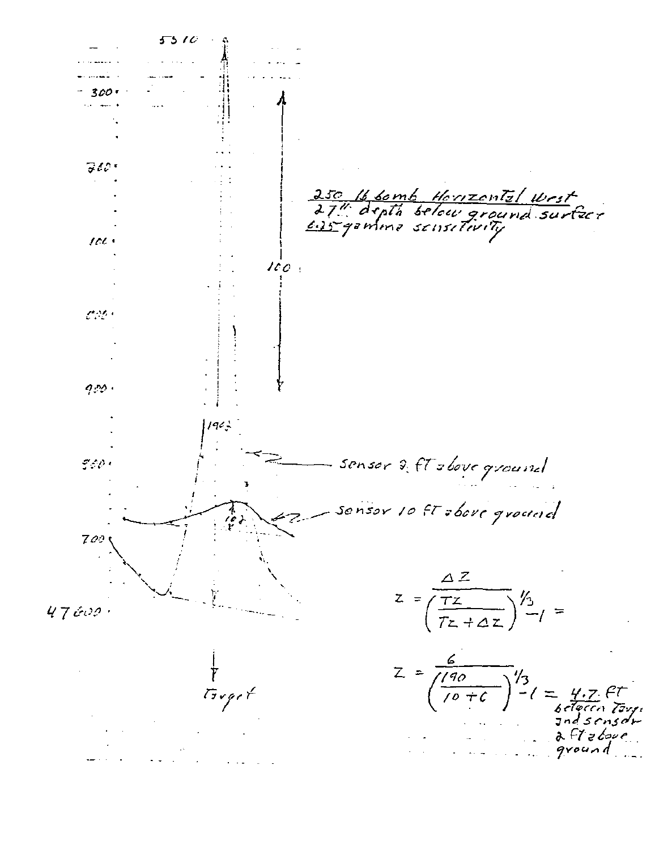5510 **Contractor** 300 -300. 250 16 bomb Horizonts/ Wrst<br>27" depth below ground surfere<br>625 gamma sensitivity  $100 +$  $100:$  $\mathcal{L}(\mathcal{M})$  $950.$  $19C_5$ sensor of ft shove ground والابرسي sensor 10 ft sbore ground 700  $Z = \frac{\Delta Z}{\left(\frac{TZ}{TZ + \Delta Z}\right)}\frac{1}{2} =$  $47600.$  $Z = \frac{6}{\sqrt{\frac{190}{10} + 6}}$  $=\frac{44}{66}$  $5$ rqct  $and$ scusdr  $a$   $F$   $t$   $z$   $b$ *ove* ground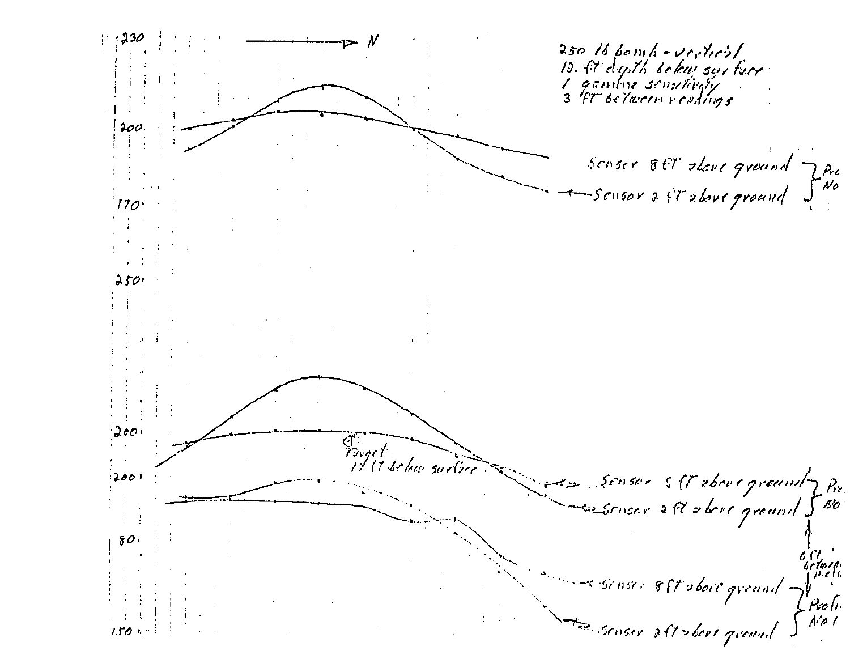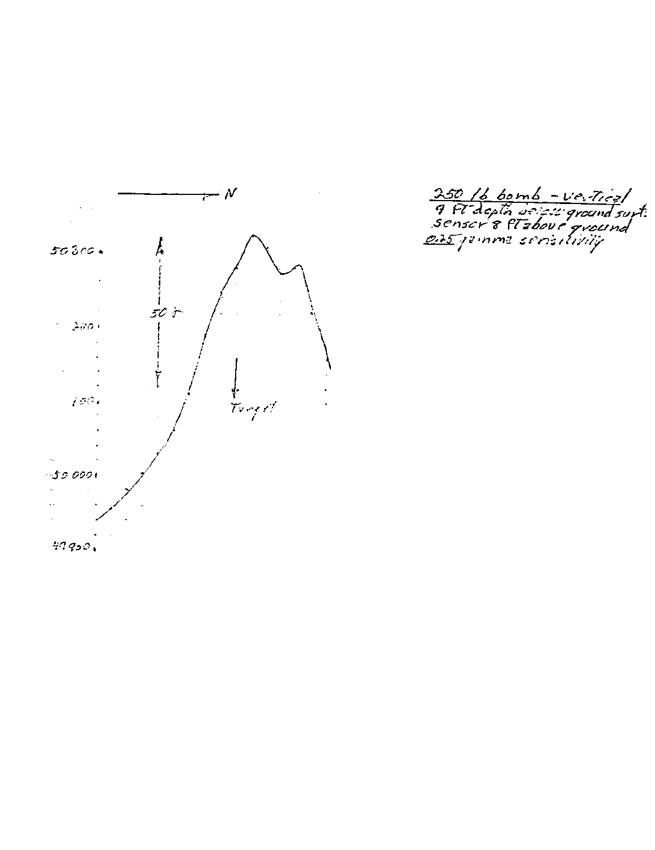

250 /b bomb - Vertical<br>9 Ft depth delett ground supt:<br>Senser 8 Ft above ground<br>235 jeinme seristlivity